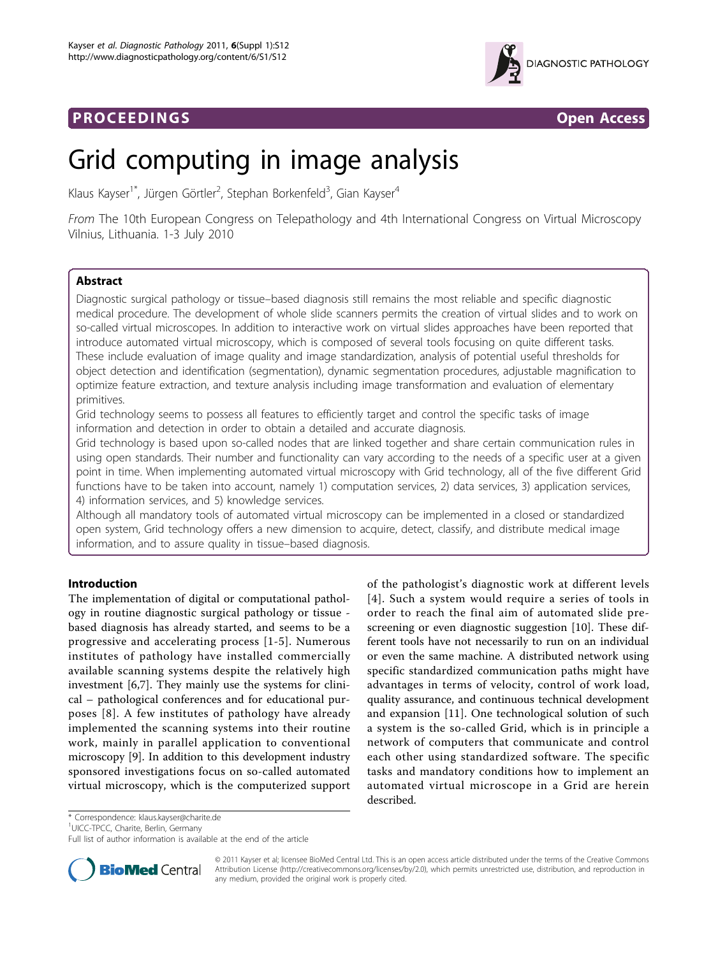



# Grid computing in image analysis

Klaus Kayser<sup>1\*</sup>, Jürgen Görtler<sup>2</sup>, Stephan Borkenfeld<sup>3</sup>, Gian Kayser<sup>4</sup>

From The 10th European Congress on Telepathology and 4th International Congress on Virtual Microscopy Vilnius, Lithuania. 1-3 July 2010

# Abstract

Diagnostic surgical pathology or tissue–based diagnosis still remains the most reliable and specific diagnostic medical procedure. The development of whole slide scanners permits the creation of virtual slides and to work on so-called virtual microscopes. In addition to interactive work on virtual slides approaches have been reported that introduce automated virtual microscopy, which is composed of several tools focusing on quite different tasks. These include evaluation of image quality and image standardization, analysis of potential useful thresholds for object detection and identification (segmentation), dynamic segmentation procedures, adjustable magnification to optimize feature extraction, and texture analysis including image transformation and evaluation of elementary primitives.

Grid technology seems to possess all features to efficiently target and control the specific tasks of image information and detection in order to obtain a detailed and accurate diagnosis.

Grid technology is based upon so-called nodes that are linked together and share certain communication rules in using open standards. Their number and functionality can vary according to the needs of a specific user at a given point in time. When implementing automated virtual microscopy with Grid technology, all of the five different Grid functions have to be taken into account, namely 1) computation services, 2) data services, 3) application services, 4) information services, and 5) knowledge services.

Although all mandatory tools of automated virtual microscopy can be implemented in a closed or standardized open system, Grid technology offers a new dimension to acquire, detect, classify, and distribute medical image information, and to assure quality in tissue–based diagnosis.

# Introduction

The implementation of digital or computational pathology in routine diagnostic surgical pathology or tissue based diagnosis has already started, and seems to be a progressive and accelerating process [[1](#page-3-0)-[5](#page-3-0)]. Numerous institutes of pathology have installed commercially available scanning systems despite the relatively high investment [[6,7\]](#page-3-0). They mainly use the systems for clinical – pathological conferences and for educational purposes [[8](#page-3-0)]. A few institutes of pathology have already implemented the scanning systems into their routine work, mainly in parallel application to conventional microscopy [[9\]](#page-3-0). In addition to this development industry sponsored investigations focus on so-called automated virtual microscopy, which is the computerized support

of the pathologist's diagnostic work at different levels [[4\]](#page-3-0). Such a system would require a series of tools in order to reach the final aim of automated slide prescreening or even diagnostic suggestion [\[10](#page-3-0)]. These different tools have not necessarily to run on an individual or even the same machine. A distributed network using specific standardized communication paths might have advantages in terms of velocity, control of work load, quality assurance, and continuous technical development and expansion [[11\]](#page-3-0). One technological solution of such a system is the so-called Grid, which is in principle a network of computers that communicate and control each other using standardized software. The specific tasks and mandatory conditions how to implement an automated virtual microscope in a Grid are herein described.

\* Correspondence: [klaus.kayser@charite.de](mailto:klaus.kayser@charite.de)

<sup>1</sup>UICC-TPCC, Charite, Berlin, Germany

Full list of author information is available at the end of the article



© 2011 Kayser et al; licensee BioMed Central Ltd. This is an open access article distributed under the terms of the Creative Commons Attribution License [\(http://creativecommons.org/licenses/by/2.0](http://creativecommons.org/licenses/by/2.0)), which permits unrestricted use, distribution, and reproduction in any medium, provided the original work is properly cited.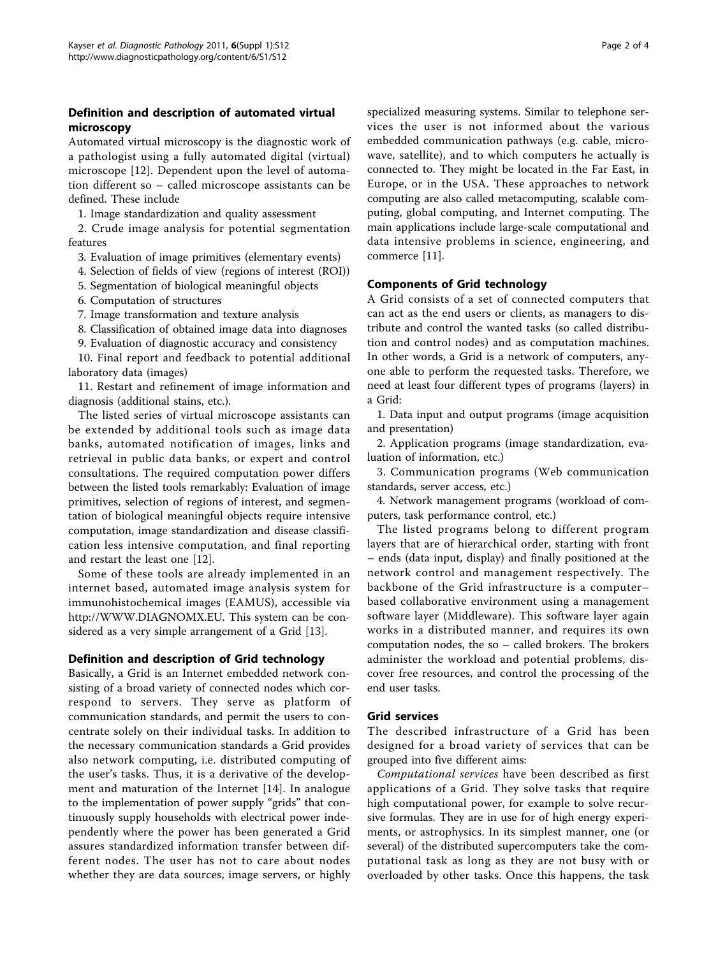## Definition and description of automated virtual microscopy

Automated virtual microscopy is the diagnostic work of a pathologist using a fully automated digital (virtual) microscope [[12\]](#page-3-0). Dependent upon the level of automation different so – called microscope assistants can be defined. These include

1. Image standardization and quality assessment

2. Crude image analysis for potential segmentation features

3. Evaluation of image primitives (elementary events)

4. Selection of fields of view (regions of interest (ROI))

5. Segmentation of biological meaningful objects

6. Computation of structures

7. Image transformation and texture analysis

8. Classification of obtained image data into diagnoses

9. Evaluation of diagnostic accuracy and consistency

10. Final report and feedback to potential additional laboratory data (images)

11. Restart and refinement of image information and diagnosis (additional stains, etc.).

The listed series of virtual microscope assistants can be extended by additional tools such as image data banks, automated notification of images, links and retrieval in public data banks, or expert and control consultations. The required computation power differs between the listed tools remarkably: Evaluation of image primitives, selection of regions of interest, and segmentation of biological meaningful objects require intensive computation, image standardization and disease classification less intensive computation, and final reporting and restart the least one [\[12\]](#page-3-0).

Some of these tools are already implemented in an internet based, automated image analysis system for immunohistochemical images (EAMUS), accessible via [http://WWW.DIAGNOMX.EU.](http://WWW.DIAGNOMX.EU) This system can be considered as a very simple arrangement of a Grid [[13](#page-3-0)].

## Definition and description of Grid technology

Basically, a Grid is an Internet embedded network consisting of a broad variety of connected nodes which correspond to servers. They serve as platform of communication standards, and permit the users to concentrate solely on their individual tasks. In addition to the necessary communication standards a Grid provides also network computing, i.e. distributed computing of the user's tasks. Thus, it is a derivative of the development and maturation of the Internet [\[14](#page-3-0)]. In analogue to the implementation of power supply "grids" that continuously supply households with electrical power independently where the power has been generated a Grid assures standardized information transfer between different nodes. The user has not to care about nodes whether they are data sources, image servers, or highly

specialized measuring systems. Similar to telephone services the user is not informed about the various embedded communication pathways (e.g. cable, microwave, satellite), and to which computers he actually is connected to. They might be located in the Far East, in Europe, or in the USA. These approaches to network computing are also called metacomputing, scalable computing, global computing, and Internet computing. The main applications include large-scale computational and data intensive problems in science, engineering, and commerce [[11](#page-3-0)].

## Components of Grid technology

A Grid consists of a set of connected computers that can act as the end users or clients, as managers to distribute and control the wanted tasks (so called distribution and control nodes) and as computation machines. In other words, a Grid is a network of computers, anyone able to perform the requested tasks. Therefore, we need at least four different types of programs (layers) in a Grid:

1. Data input and output programs (image acquisition and presentation)

2. Application programs (image standardization, evaluation of information, etc.)

3. Communication programs (Web communication standards, server access, etc.)

4. Network management programs (workload of computers, task performance control, etc.)

The listed programs belong to different program layers that are of hierarchical order, starting with front – ends (data input, display) and finally positioned at the network control and management respectively. The backbone of the Grid infrastructure is a computer– based collaborative environment using a management software layer (Middleware). This software layer again works in a distributed manner, and requires its own computation nodes, the so – called brokers. The brokers administer the workload and potential problems, discover free resources, and control the processing of the end user tasks.

## Grid services

The described infrastructure of a Grid has been designed for a broad variety of services that can be grouped into five different aims:

Computational services have been described as first applications of a Grid. They solve tasks that require high computational power, for example to solve recursive formulas. They are in use for of high energy experiments, or astrophysics. In its simplest manner, one (or several) of the distributed supercomputers take the computational task as long as they are not busy with or overloaded by other tasks. Once this happens, the task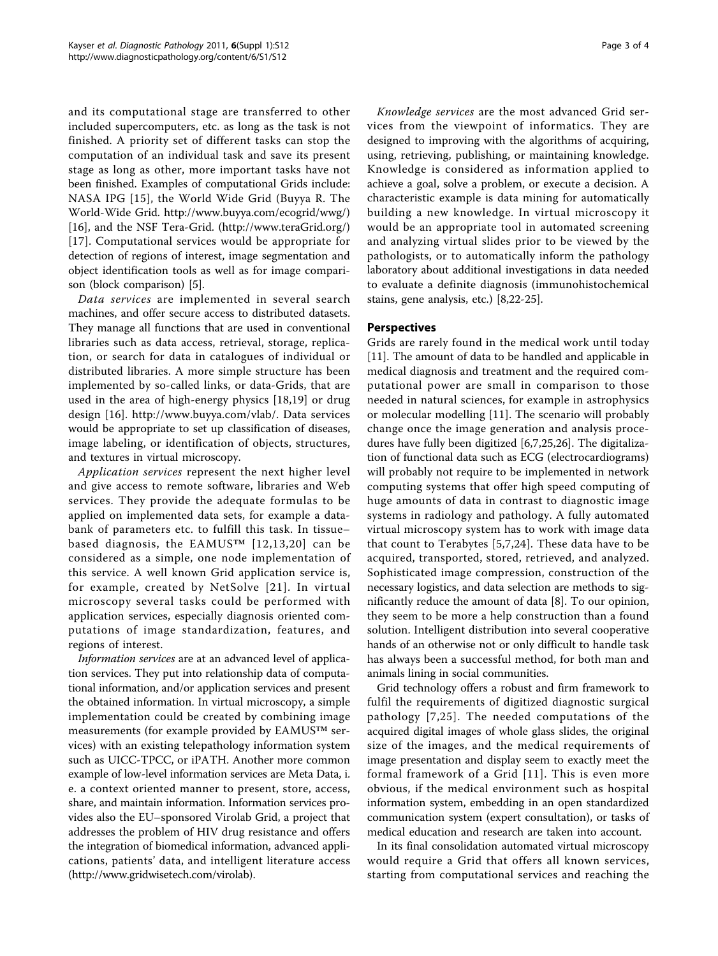and its computational stage are transferred to other included supercomputers, etc. as long as the task is not finished. A priority set of different tasks can stop the computation of an individual task and save its present stage as long as other, more important tasks have not been finished. Examples of computational Grids include: NASA IPG [[15\]](#page-3-0), the World Wide Grid (Buyya R. The World-Wide Grid.<http://www.buyya.com/ecogrid/wwg/>) [[16\]](#page-3-0), and the NSF Tera-Grid. [\(http://www.teraGrid.org/](http://www.teraGrid.org/)) [[17](#page-3-0)]. Computational services would be appropriate for detection of regions of interest, image segmentation and object identification tools as well as for image comparison (block comparison) [[5\]](#page-3-0).

Data services are implemented in several search machines, and offer secure access to distributed datasets. They manage all functions that are used in conventional libraries such as data access, retrieval, storage, replication, or search for data in catalogues of individual or distributed libraries. A more simple structure has been implemented by so-called links, or data-Grids, that are used in the area of high-energy physics [[18,19](#page-3-0)] or drug design [\[16](#page-3-0)].<http://www.buyya.com/vlab/>. Data services would be appropriate to set up classification of diseases, image labeling, or identification of objects, structures, and textures in virtual microscopy.

Application services represent the next higher level and give access to remote software, libraries and Web services. They provide the adequate formulas to be applied on implemented data sets, for example a databank of parameters etc. to fulfill this task. In tissue– based diagnosis, the EAMUS™ [[12,13](#page-3-0),[20\]](#page-3-0) can be considered as a simple, one node implementation of this service. A well known Grid application service is, for example, created by NetSolve [[21](#page-3-0)]. In virtual microscopy several tasks could be performed with application services, especially diagnosis oriented computations of image standardization, features, and regions of interest.

Information services are at an advanced level of application services. They put into relationship data of computational information, and/or application services and present the obtained information. In virtual microscopy, a simple implementation could be created by combining image measurements (for example provided by EAMUS™ services) with an existing telepathology information system such as UICC-TPCC, or iPATH. Another more common example of low-level information services are Meta Data, i. e. a context oriented manner to present, store, access, share, and maintain information. Information services provides also the EU–sponsored Virolab Grid, a project that addresses the problem of HIV drug resistance and offers the integration of biomedical information, advanced applications, patients' data, and intelligent literature access ([http://www.gridwisetech.com/virolab\)](http://www.gridwisetech.com/virolab).

Knowledge services are the most advanced Grid services from the viewpoint of informatics. They are designed to improving with the algorithms of acquiring, using, retrieving, publishing, or maintaining knowledge. Knowledge is considered as information applied to achieve a goal, solve a problem, or execute a decision. A characteristic example is data mining for automatically building a new knowledge. In virtual microscopy it would be an appropriate tool in automated screening and analyzing virtual slides prior to be viewed by the pathologists, or to automatically inform the pathology laboratory about additional investigations in data needed to evaluate a definite diagnosis (immunohistochemical stains, gene analysis, etc.) [8[,22](#page-3-0)-[25](#page-3-0)].

## **Perspectives**

Grids are rarely found in the medical work until today [[11\]](#page-3-0). The amount of data to be handled and applicable in medical diagnosis and treatment and the required computational power are small in comparison to those needed in natural sciences, for example in astrophysics or molecular modelling [[11](#page-3-0)]. The scenario will probably change once the image generation and analysis procedures have fully been digitized [\[6,7,25,26](#page-3-0)]. The digitalization of functional data such as ECG (electrocardiograms) will probably not require to be implemented in network computing systems that offer high speed computing of huge amounts of data in contrast to diagnostic image systems in radiology and pathology. A fully automated virtual microscopy system has to work with image data that count to Terabytes [[5,7](#page-3-0),[24\]](#page-3-0). These data have to be acquired, transported, stored, retrieved, and analyzed. Sophisticated image compression, construction of the necessary logistics, and data selection are methods to significantly reduce the amount of data [\[8](#page-3-0)]. To our opinion, they seem to be more a help construction than a found solution. Intelligent distribution into several cooperative hands of an otherwise not or only difficult to handle task has always been a successful method, for both man and animals lining in social communities.

Grid technology offers a robust and firm framework to fulfil the requirements of digitized diagnostic surgical pathology [[7](#page-3-0),[25\]](#page-3-0). The needed computations of the acquired digital images of whole glass slides, the original size of the images, and the medical requirements of image presentation and display seem to exactly meet the formal framework of a Grid [[11\]](#page-3-0). This is even more obvious, if the medical environment such as hospital information system, embedding in an open standardized communication system (expert consultation), or tasks of medical education and research are taken into account.

In its final consolidation automated virtual microscopy would require a Grid that offers all known services, starting from computational services and reaching the